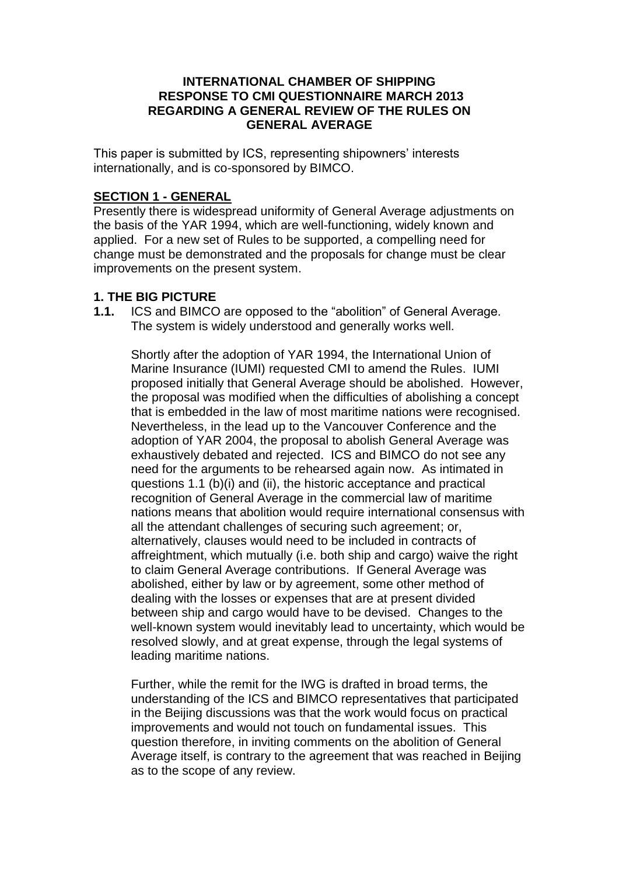#### **INTERNATIONAL CHAMBER OF SHIPPING RESPONSE TO CMI QUESTIONNAIRE MARCH 2013 REGARDING A GENERAL REVIEW OF THE RULES ON GENERAL AVERAGE**

This paper is submitted by ICS, representing shipowners' interests internationally, and is co-sponsored by BIMCO.

## **SECTION 1 - GENERAL**

Presently there is widespread uniformity of General Average adjustments on the basis of the YAR 1994, which are well-functioning, widely known and applied. For a new set of Rules to be supported, a compelling need for change must be demonstrated and the proposals for change must be clear improvements on the present system.

## **1. THE BIG PICTURE**

**1.1.** ICS and BIMCO are opposed to the "abolition" of General Average. The system is widely understood and generally works well.

Shortly after the adoption of YAR 1994, the International Union of Marine Insurance (IUMI) requested CMI to amend the Rules. IUMI proposed initially that General Average should be abolished. However, the proposal was modified when the difficulties of abolishing a concept that is embedded in the law of most maritime nations were recognised. Nevertheless, in the lead up to the Vancouver Conference and the adoption of YAR 2004, the proposal to abolish General Average was exhaustively debated and rejected. ICS and BIMCO do not see any need for the arguments to be rehearsed again now. As intimated in questions 1.1 (b)(i) and (ii), the historic acceptance and practical recognition of General Average in the commercial law of maritime nations means that abolition would require international consensus with all the attendant challenges of securing such agreement; or, alternatively, clauses would need to be included in contracts of affreightment, which mutually (i.e. both ship and cargo) waive the right to claim General Average contributions. If General Average was abolished, either by law or by agreement, some other method of dealing with the losses or expenses that are at present divided between ship and cargo would have to be devised. Changes to the well-known system would inevitably lead to uncertainty, which would be resolved slowly, and at great expense, through the legal systems of leading maritime nations.

Further, while the remit for the IWG is drafted in broad terms, the understanding of the ICS and BIMCO representatives that participated in the Beijing discussions was that the work would focus on practical improvements and would not touch on fundamental issues. This question therefore, in inviting comments on the abolition of General Average itself, is contrary to the agreement that was reached in Beijing as to the scope of any review.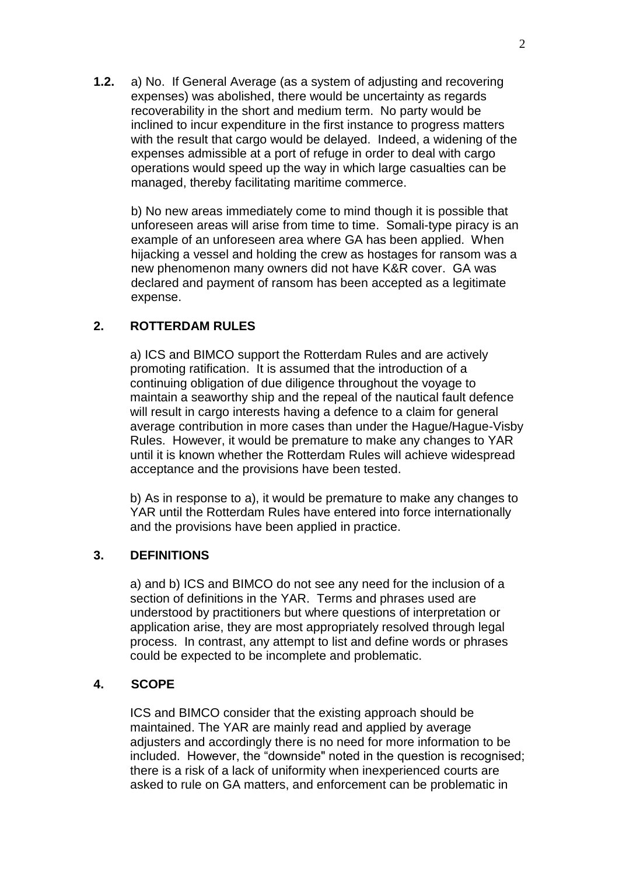**1.2.** a) No. If General Average (as a system of adjusting and recovering expenses) was abolished, there would be uncertainty as regards recoverability in the short and medium term. No party would be inclined to incur expenditure in the first instance to progress matters with the result that cargo would be delayed. Indeed, a widening of the expenses admissible at a port of refuge in order to deal with cargo operations would speed up the way in which large casualties can be managed, thereby facilitating maritime commerce.

b) No new areas immediately come to mind though it is possible that unforeseen areas will arise from time to time. Somali-type piracy is an example of an unforeseen area where GA has been applied. When hijacking a vessel and holding the crew as hostages for ransom was a new phenomenon many owners did not have K&R cover. GA was declared and payment of ransom has been accepted as a legitimate expense.

## **2. ROTTERDAM RULES**

a) ICS and BIMCO support the Rotterdam Rules and are actively promoting ratification. It is assumed that the introduction of a continuing obligation of due diligence throughout the voyage to maintain a seaworthy ship and the repeal of the nautical fault defence will result in cargo interests having a defence to a claim for general average contribution in more cases than under the Hague/Hague-Visby Rules. However, it would be premature to make any changes to YAR until it is known whether the Rotterdam Rules will achieve widespread acceptance and the provisions have been tested.

b) As in response to a), it would be premature to make any changes to YAR until the Rotterdam Rules have entered into force internationally and the provisions have been applied in practice.

## **3. DEFINITIONS**

a) and b) ICS and BIMCO do not see any need for the inclusion of a section of definitions in the YAR. Terms and phrases used are understood by practitioners but where questions of interpretation or application arise, they are most appropriately resolved through legal process. In contrast, any attempt to list and define words or phrases could be expected to be incomplete and problematic.

#### **4. SCOPE**

ICS and BIMCO consider that the existing approach should be maintained. The YAR are mainly read and applied by average adjusters and accordingly there is no need for more information to be included. However, the "downside" noted in the question is recognised; there is a risk of a lack of uniformity when inexperienced courts are asked to rule on GA matters, and enforcement can be problematic in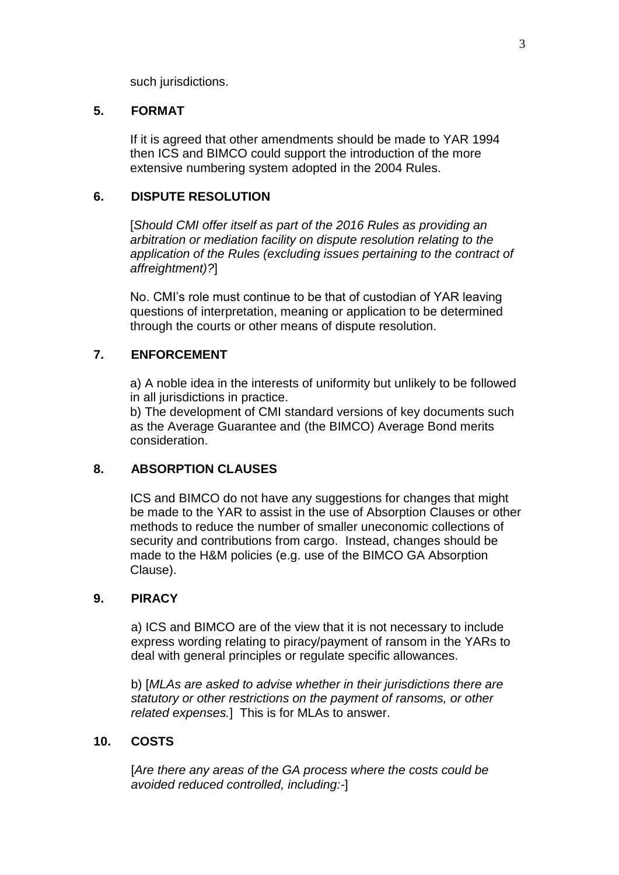such jurisdictions.

## **5. FORMAT**

If it is agreed that other amendments should be made to YAR 1994 then ICS and BIMCO could support the introduction of the more extensive numbering system adopted in the 2004 Rules.

## **6. DISPUTE RESOLUTION**

[*Should CMI offer itself as part of the 2016 Rules as providing an arbitration or mediation facility on dispute resolution relating to the application of the Rules (excluding issues pertaining to the contract of affreightment)?*]

No. CMI's role must continue to be that of custodian of YAR leaving questions of interpretation, meaning or application to be determined through the courts or other means of dispute resolution.

## **7. ENFORCEMENT**

a) A noble idea in the interests of uniformity but unlikely to be followed in all jurisdictions in practice.

b) The development of CMI standard versions of key documents such as the Average Guarantee and (the BIMCO) Average Bond merits consideration.

## **8. ABSORPTION CLAUSES**

ICS and BIMCO do not have any suggestions for changes that might be made to the YAR to assist in the use of Absorption Clauses or other methods to reduce the number of smaller uneconomic collections of security and contributions from cargo. Instead, changes should be made to the H&M policies (e.g. use of the BIMCO GA Absorption Clause).

## **9. PIRACY**

a) ICS and BIMCO are of the view that it is not necessary to include express wording relating to piracy/payment of ransom in the YARs to deal with general principles or regulate specific allowances.

b) [*MLAs are asked to advise whether in their jurisdictions there are statutory or other restrictions on the payment of ransoms, or other related expenses.*] This is for MLAs to answer.

## **10. COSTS**

[*Are there any areas of the GA process where the costs could be avoided reduced controlled, including:-*]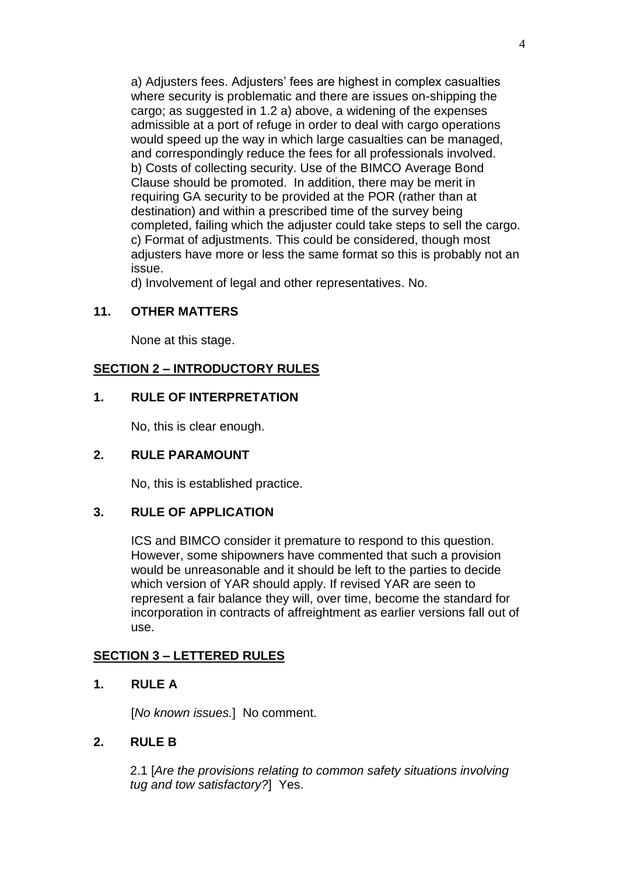a) Adjusters fees. Adjusters' fees are highest in complex casualties where security is problematic and there are issues on-shipping the cargo; as suggested in 1.2 a) above, a widening of the expenses admissible at a port of refuge in order to deal with cargo operations would speed up the way in which large casualties can be managed, and correspondingly reduce the fees for all professionals involved. b) Costs of collecting security. Use of the BIMCO Average Bond Clause should be promoted. In addition, there may be merit in requiring GA security to be provided at the POR (rather than at destination) and within a prescribed time of the survey being completed, failing which the adjuster could take steps to sell the cargo. c) Format of adjustments. This could be considered, though most adjusters have more or less the same format so this is probably not an issue.

d) Involvement of legal and other representatives. No.

## **11. OTHER MATTERS**

None at this stage.

## **SECTION 2 – INTRODUCTORY RULES**

## **1. RULE OF INTERPRETATION**

No, this is clear enough.

## **2. RULE PARAMOUNT**

No, this is established practice.

## **3. RULE OF APPLICATION**

ICS and BIMCO consider it premature to respond to this question. However, some shipowners have commented that such a provision would be unreasonable and it should be left to the parties to decide which version of YAR should apply. If revised YAR are seen to represent a fair balance they will, over time, become the standard for incorporation in contracts of affreightment as earlier versions fall out of use.

## **SECTION 3 – LETTERED RULES**

## **1. RULE A**

[*No known issues.*] No comment.

#### **2. RULE B**

2.1 [*Are the provisions relating to common safety situations involving tug and tow satisfactory?*] Yes.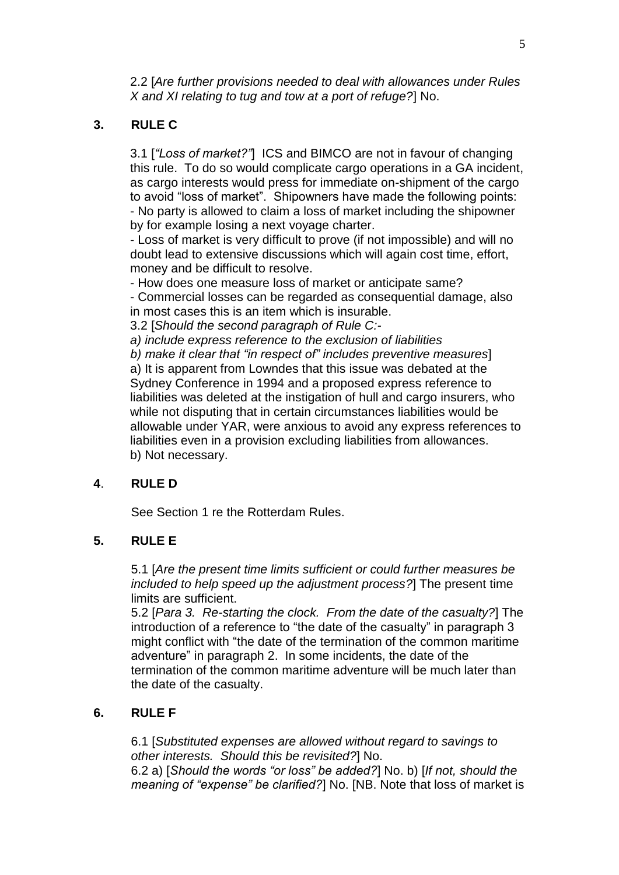2.2 [*Are further provisions needed to deal with allowances under Rules X and XI relating to tug and tow at a port of refuge?*] No.

# **3. RULE C**

3.1 [*"Loss of market?"*] ICS and BIMCO are not in favour of changing this rule. To do so would complicate cargo operations in a GA incident, as cargo interests would press for immediate on-shipment of the cargo to avoid "loss of market". Shipowners have made the following points: - No party is allowed to claim a loss of market including the shipowner by for example losing a next voyage charter.

- Loss of market is very difficult to prove (if not impossible) and will no doubt lead to extensive discussions which will again cost time, effort, money and be difficult to resolve.

- How does one measure loss of market or anticipate same?

- Commercial losses can be regarded as consequential damage, also in most cases this is an item which is insurable.

3.2 [*Should the second paragraph of Rule C:-*

*a) include express reference to the exclusion of liabilities*

*b) make it clear that "in respect of" includes preventive measures*] a) It is apparent from Lowndes that this issue was debated at the Sydney Conference in 1994 and a proposed express reference to liabilities was deleted at the instigation of hull and cargo insurers, who while not disputing that in certain circumstances liabilities would be allowable under YAR, were anxious to avoid any express references to liabilities even in a provision excluding liabilities from allowances. b) Not necessary.

## **4**. **RULE D**

See Section 1 re the Rotterdam Rules.

## **5. RULE E**

5.1 [*Are the present time limits sufficient or could further measures be included to help speed up the adjustment process?*] The present time limits are sufficient.

5.2 [*Para 3. Re-starting the clock. From the date of the casualty?*] The introduction of a reference to "the date of the casualty" in paragraph 3 might conflict with "the date of the termination of the common maritime adventure" in paragraph 2. In some incidents, the date of the termination of the common maritime adventure will be much later than the date of the casualty.

# **6. RULE F**

6.1 [*Substituted expenses are allowed without regard to savings to other interests. Should this be revisited?*] No. 6.2 a) [*Should the words "or loss" be added?*] No. b) [*If not, should the meaning of "expense" be clarified?*] No. [NB. Note that loss of market is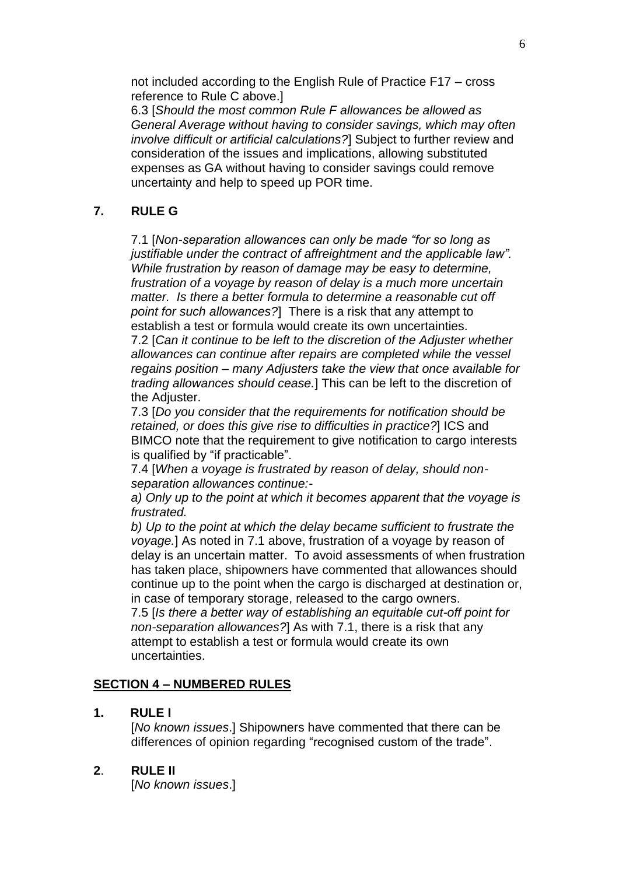not included according to the English Rule of Practice F17 – cross reference to Rule C above.]

6.3 [*Should the most common Rule F allowances be allowed as General Average without having to consider savings, which may often involve difficult or artificial calculations?*] Subject to further review and consideration of the issues and implications, allowing substituted expenses as GA without having to consider savings could remove uncertainty and help to speed up POR time.

# **7. RULE G**

7.1 [*Non-separation allowances can only be made "for so long as*  justifiable under the contract of affreightment and the applicable law". *While frustration by reason of damage may be easy to determine, frustration of a voyage by reason of delay is a much more uncertain matter. Is there a better formula to determine a reasonable cut off point for such allowances?*] There is a risk that any attempt to establish a test or formula would create its own uncertainties.

7.2 [*Can it continue to be left to the discretion of the Adjuster whether allowances can continue after repairs are completed while the vessel regains position – many Adjusters take the view that once available for trading allowances should cease.*] This can be left to the discretion of the Adjuster.

7.3 [*Do you consider that the requirements for notification should be retained, or does this give rise to difficulties in practice?*] ICS and BIMCO note that the requirement to give notification to cargo interests is qualified by "if practicable".

7.4 [*When a voyage is frustrated by reason of delay, should nonseparation allowances continue:-*

*a) Only up to the point at which it becomes apparent that the voyage is frustrated.*

*b) Up to the point at which the delay became sufficient to frustrate the voyage.*] As noted in 7.1 above, frustration of a voyage by reason of delay is an uncertain matter. To avoid assessments of when frustration has taken place, shipowners have commented that allowances should continue up to the point when the cargo is discharged at destination or, in case of temporary storage, released to the cargo owners. 7.5 [*Is there a better way of establishing an equitable cut-off point for non-separation allowances?*] As with 7.1, there is a risk that any

attempt to establish a test or formula would create its own uncertainties.

## **SECTION 4 – NUMBERED RULES**

## **1. RULE I**

[*No known issues*.] Shipowners have commented that there can be differences of opinion regarding "recognised custom of the trade".

## **2**. **RULE II**

[*No known issues*.]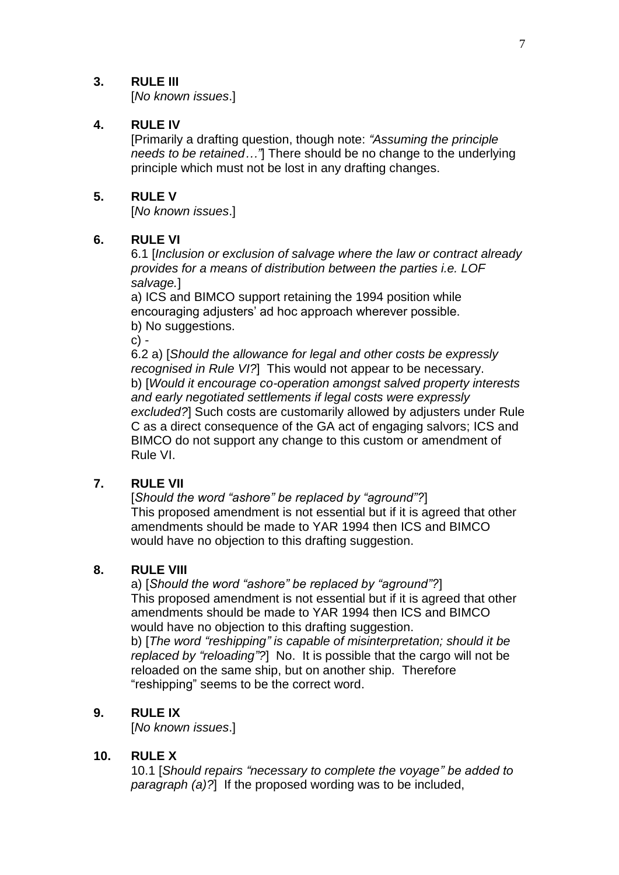## **3. RULE III**

[*No known issues*.]

## **4. RULE IV**

[Primarily a drafting question, though note: *"Assuming the principle needs to be retained…"*] There should be no change to the underlying principle which must not be lost in any drafting changes.

## **5. RULE V**

[*No known issues*.]

## **6. RULE VI**

6.1 [*Inclusion or exclusion of salvage where the law or contract already provides for a means of distribution between the parties i.e. LOF salvage.*]

a) ICS and BIMCO support retaining the 1994 position while encouraging adjusters' ad hoc approach wherever possible. b) No suggestions.

 $c$ ) -

6.2 a) [*Should the allowance for legal and other costs be expressly recognised in Rule VI?*] This would not appear to be necessary. b) [*Would it encourage co-operation amongst salved property interests and early negotiated settlements if legal costs were expressly excluded?*] Such costs are customarily allowed by adjusters under Rule C as a direct consequence of the GA act of engaging salvors; ICS and BIMCO do not support any change to this custom or amendment of Rule VI.

## **7. RULE VII**

[*Should the word "ashore" be replaced by "aground"?*] This proposed amendment is not essential but if it is agreed that other amendments should be made to YAR 1994 then ICS and BIMCO would have no objection to this drafting suggestion.

## **8. RULE VIII**

a) [*Should the word "ashore" be replaced by "aground"?*] This proposed amendment is not essential but if it is agreed that other amendments should be made to YAR 1994 then ICS and BIMCO would have no objection to this drafting suggestion.

b) [*The word "reshipping" is capable of misinterpretation; should it be replaced by "reloading"?*] No. It is possible that the cargo will not be reloaded on the same ship, but on another ship. Therefore "reshipping" seems to be the correct word.

# **9. RULE IX**

[*No known issues*.]

## **10. RULE X**

10.1 [*Should repairs "necessary to complete the voyage" be added to paragraph (a)?*] If the proposed wording was to be included,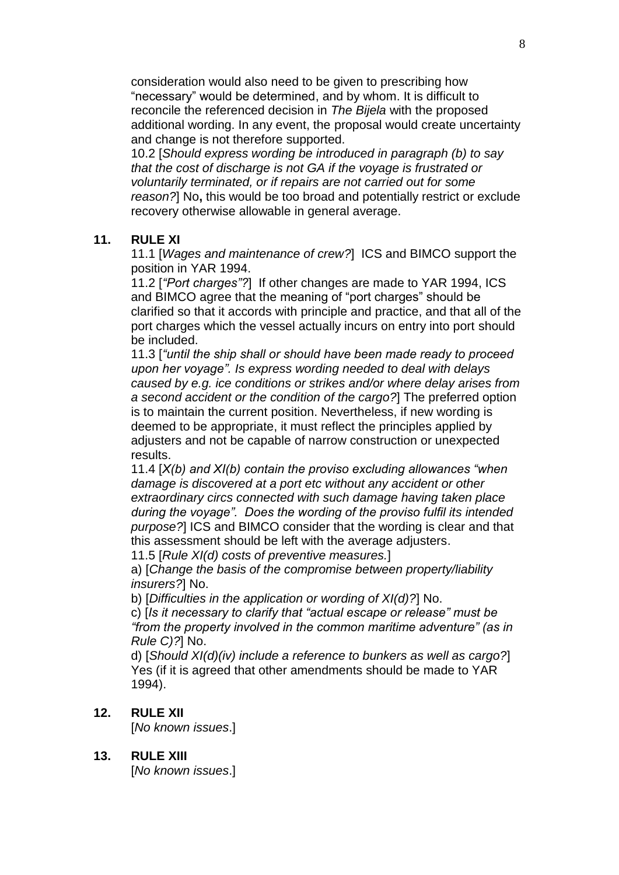consideration would also need to be given to prescribing how "necessary" would be determined, and by whom. It is difficult to reconcile the referenced decision in *The Bijela* with the proposed additional wording. In any event, the proposal would create uncertainty and change is not therefore supported.

10.2 [*Should express wording be introduced in paragraph (b) to say that the cost of discharge is not GA if the voyage is frustrated or voluntarily terminated, or if repairs are not carried out for some reason?*] No**,** this would be too broad and potentially restrict or exclude recovery otherwise allowable in general average.

#### **11. RULE XI**

11.1 [*Wages and maintenance of crew?*] ICS and BIMCO support the position in YAR 1994.

11.2 [*"Port charges"?*] If other changes are made to YAR 1994, ICS and BIMCO agree that the meaning of "port charges" should be clarified so that it accords with principle and practice, and that all of the port charges which the vessel actually incurs on entry into port should be included.

11.3 [*"until the ship shall or should have been made ready to proceed upon her voyage". Is express wording needed to deal with delays caused by e.g. ice conditions or strikes and/or where delay arises from a second accident or the condition of the cargo?*] The preferred option is to maintain the current position. Nevertheless, if new wording is deemed to be appropriate, it must reflect the principles applied by adjusters and not be capable of narrow construction or unexpected results.

11.4 [*X(b) and XI(b) contain the proviso excluding allowances "when damage is discovered at a port etc without any accident or other extraordinary circs connected with such damage having taken place during the voyage". Does the wording of the proviso fulfil its intended purpose?*] ICS and BIMCO consider that the wording is clear and that this assessment should be left with the average adjusters.

11.5 [*Rule XI(d) costs of preventive measures.*]

a) [*Change the basis of the compromise between property/liability insurers?*] No.

b) [*Difficulties in the application or wording of XI(d)?*] No.

c) [*Is it necessary to clarify that "actual escape or release" must be "from the property involved in the common maritime adventure" (as in Rule C)?*] No.

d) [*Should XI(d)(iv) include a reference to bunkers as well as cargo?*] Yes (if it is agreed that other amendments should be made to YAR 1994).

#### **12. RULE XII**

[*No known issues*.]

**13. RULE XIII**

[*No known issues*.]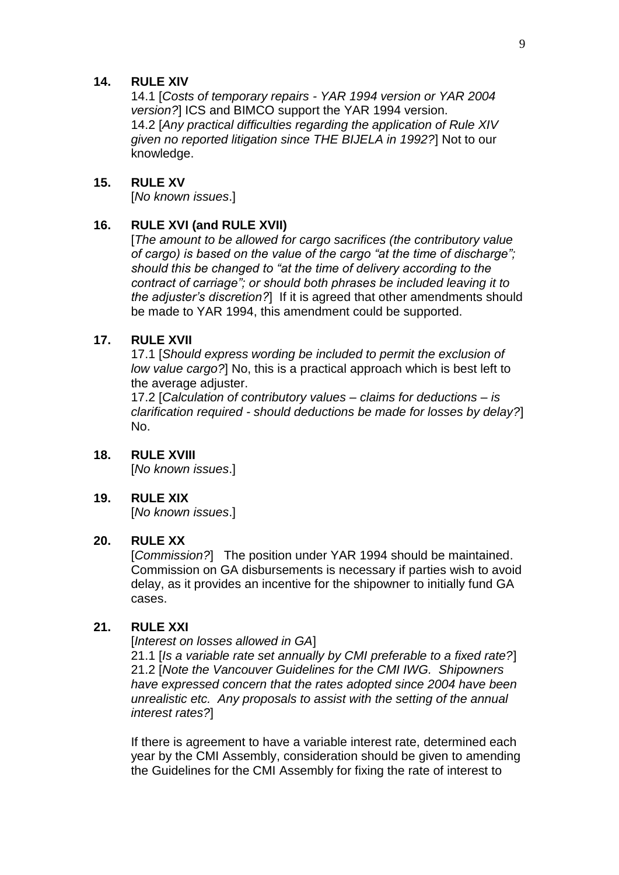#### **14. RULE XIV**

14.1 [*Costs of temporary repairs - YAR 1994 version or YAR 2004 version?*] ICS and BIMCO support the YAR 1994 version. 14.2 [*Any practical difficulties regarding the application of Rule XIV given no reported litigation since THE BIJELA in 1992?*] Not to our knowledge.

#### **15. RULE XV**

[*No known issues*.]

## **16. RULE XVI (and RULE XVII)**

[*The amount to be allowed for cargo sacrifices (the contributory value of cargo) is based on the value of the cargo "at the time of discharge"; should this be changed to "at the time of delivery according to the contract of carriage"; or should both phrases be included leaving it to the adjuster's discretion?*] If it is agreed that other amendments should be made to YAR 1994, this amendment could be supported.

#### **17. RULE XVII**

17.1 [*Should express wording be included to permit the exclusion of low value cargo?*] No, this is a practical approach which is best left to the average adjuster.

17.2 [*Calculation of contributory values – claims for deductions – is clarification required - should deductions be made for losses by delay?*] No.

**18. RULE XVIII**

[*No known issues*.]

## **19. RULE XIX**

[*No known issues*.]

## **20. RULE XX**

[*Commission?*] The position under YAR 1994 should be maintained. Commission on GA disbursements is necessary if parties wish to avoid delay, as it provides an incentive for the shipowner to initially fund GA cases.

## **21. RULE XXI**

[*Interest on losses allowed in GA*]

21.1 [*Is a variable rate set annually by CMI preferable to a fixed rate?*] 21.2 [*Note the Vancouver Guidelines for the CMI IWG. Shipowners have expressed concern that the rates adopted since 2004 have been unrealistic etc. Any proposals to assist with the setting of the annual interest rates?*]

If there is agreement to have a variable interest rate, determined each year by the CMI Assembly, consideration should be given to amending the Guidelines for the CMI Assembly for fixing the rate of interest to